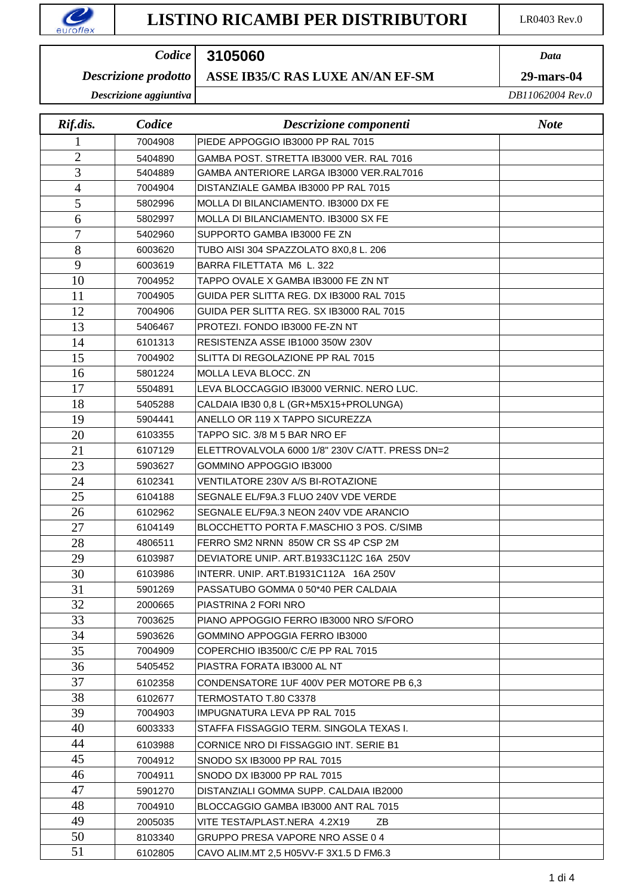## *Data Codice*

#### **ASSE IB35/C RAS LUXE AN/AN EF-SM 29-mars-04** *Descrizione prodotto*

*Descrizione aggiuntiva*

| Rif.dis.       | Codice  | Descrizione componenti                          | <b>Note</b> |
|----------------|---------|-------------------------------------------------|-------------|
|                | 7004908 | PIEDE APPOGGIO IB3000 PP RAL 7015               |             |
| $\overline{2}$ | 5404890 | GAMBA POST. STRETTA IB3000 VER. RAL 7016        |             |
| 3              | 5404889 | GAMBA ANTERIORE LARGA IB3000 VER.RAL7016        |             |
| 4              | 7004904 | DISTANZIALE GAMBA IB3000 PP RAL 7015            |             |
| 5              | 5802996 | MOLLA DI BILANCIAMENTO. IB3000 DX FE            |             |
| 6              | 5802997 | MOLLA DI BILANCIAMENTO. IB3000 SX FE            |             |
| 7              | 5402960 | SUPPORTO GAMBA IB3000 FE ZN                     |             |
| 8              | 6003620 | TUBO AISI 304 SPAZZOLATO 8X0,8 L. 206           |             |
| 9              | 6003619 | BARRA FILETTATA M6 L. 322                       |             |
| 10             | 7004952 | TAPPO OVALE X GAMBA IB3000 FE ZN NT             |             |
| 11             | 7004905 | GUIDA PER SLITTA REG. DX IB3000 RAL 7015        |             |
| 12             | 7004906 | GUIDA PER SLITTA REG. SX IB3000 RAL 7015        |             |
| 13             | 5406467 | PROTEZI, FONDO IB3000 FE-ZN NT                  |             |
| 14             | 6101313 | RESISTENZA ASSE IB1000 350W 230V                |             |
| 15             | 7004902 | SLITTA DI REGOLAZIONE PP RAL 7015               |             |
| 16             | 5801224 | MOLLA LEVA BLOCC. ZN                            |             |
| 17             | 5504891 | LEVA BLOCCAGGIO IB3000 VERNIC. NERO LUC.        |             |
| 18             | 5405288 | CALDAIA IB30 0,8 L (GR+M5X15+PROLUNGA)          |             |
| 19             | 5904441 | ANELLO OR 119 X TAPPO SICUREZZA                 |             |
| 20             | 6103355 | TAPPO SIC. 3/8 M 5 BAR NRO EF                   |             |
| 21             | 6107129 | ELETTROVALVOLA 6000 1/8" 230V C/ATT. PRESS DN=2 |             |
| 23             | 5903627 | GOMMINO APPOGGIO IB3000                         |             |
| 24             | 6102341 | <b>VENTILATORE 230V A/S BI-ROTAZIONE</b>        |             |
| 25             | 6104188 | SEGNALE EL/F9A.3 FLUO 240V VDE VERDE            |             |
| 26             | 6102962 | SEGNALE EL/F9A.3 NEON 240V VDE ARANCIO          |             |
| 27             | 6104149 | BLOCCHETTO PORTA F.MASCHIO 3 POS. C/SIMB        |             |
| 28             | 4806511 | FERRO SM2 NRNN 850W CR SS 4P CSP 2M             |             |
| 29             | 6103987 | DEVIATORE UNIP. ART.B1933C112C 16A 250V         |             |
| 30             | 6103986 | INTERR. UNIP. ART.B1931C112A 16A 250V           |             |
| 31             | 5901269 | PASSATUBO GOMMA 0 50*40 PER CALDAIA             |             |
| 32             | 2000665 | PIASTRINA 2 FORI NRO                            |             |
| 33             | 7003625 | PIANO APPOGGIO FERRO IB3000 NRO S/FORO          |             |
| 34             | 5903626 | GOMMINO APPOGGIA FERRO IB3000                   |             |
| 35             | 7004909 | COPERCHIO IB3500/C C/E PP RAL 7015              |             |
| 36             | 5405452 | PIASTRA FORATA IB3000 AL NT                     |             |
| 37             | 6102358 | CONDENSATORE 1UF 400V PER MOTORE PB 6.3         |             |
| 38             | 6102677 | TERMOSTATO T.80 C3378                           |             |
| 39             | 7004903 | <b>IMPUGNATURA LEVA PP RAL 7015</b>             |             |
| 40             | 6003333 | STAFFA FISSAGGIO TERM. SINGOLA TEXAS I.         |             |
| 44             | 6103988 | CORNICE NRO DI FISSAGGIO INT. SERIE B1          |             |
| 45             | 7004912 | SNODO SX IB3000 PP RAL 7015                     |             |
| 46             | 7004911 | SNODO DX IB3000 PP RAL 7015                     |             |
| 47             | 5901270 | DISTANZIALI GOMMA SUPP. CALDAIA IB2000          |             |
| 48             | 7004910 | BLOCCAGGIO GAMBA IB3000 ANT RAL 7015            |             |
| 49             | 2005035 | VITE TESTA/PLAST.NERA 4.2X19<br>ΖB              |             |
| 50             | 8103340 | GRUPPO PRESA VAPORE NRO ASSE 0 4                |             |
| 51             | 6102805 | CAVO ALIM.MT 2,5 H05VV-F 3X1.5 D FM6.3          |             |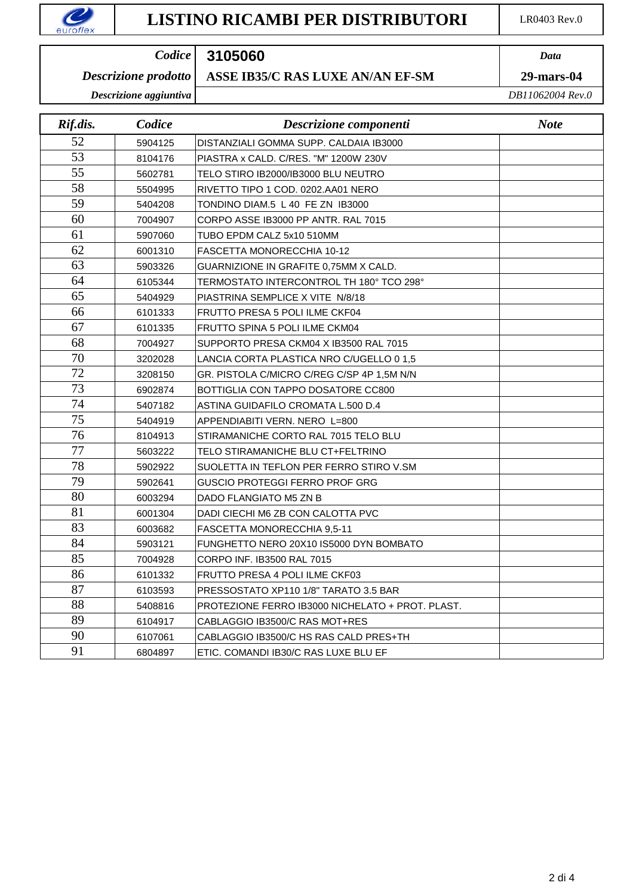### *Data Codice*

### **ASSE IB35/C RAS LUXE AN/AN EF-SM 29-mars-04** *Descrizione prodotto*

*Descrizione aggiuntiva*

| Rif.dis. | Codice  | Descrizione componenti                           | <b>Note</b> |
|----------|---------|--------------------------------------------------|-------------|
| 52       | 5904125 | DISTANZIALI GOMMA SUPP. CALDAIA IB3000           |             |
| 53       | 8104176 | PIASTRA x CALD, C/RES, "M" 1200W 230V            |             |
| 55       | 5602781 | TELO STIRO IB2000/IB3000 BLU NEUTRO              |             |
| 58       | 5504995 | RIVETTO TIPO 1 COD. 0202.AA01 NERO               |             |
| 59       | 5404208 | TONDINO DIAM.5 L 40 FE ZN IB3000                 |             |
| 60       | 7004907 | CORPO ASSE IB3000 PP ANTR. RAL 7015              |             |
| 61       | 5907060 | TUBO EPDM CALZ 5x10 510MM                        |             |
| 62       | 6001310 | FASCETTA MONORECCHIA 10-12                       |             |
| 63       | 5903326 | GUARNIZIONE IN GRAFITE 0,75MM X CALD.            |             |
| 64       | 6105344 | TERMOSTATO INTERCONTROL TH 180° TCO 298°         |             |
| 65       | 5404929 | PIASTRINA SEMPLICE X VITE N/8/18                 |             |
| 66       | 6101333 | FRUTTO PRESA 5 POLI ILME CKF04                   |             |
| 67       | 6101335 | FRUTTO SPINA 5 POLI ILME CKM04                   |             |
| 68       | 7004927 | SUPPORTO PRESA CKM04 X IB3500 RAL 7015           |             |
| 70       | 3202028 | LANCIA CORTA PLASTICA NRO C/UGELLO 0 1,5         |             |
| 72       | 3208150 | GR. PISTOLA C/MICRO C/REG C/SP 4P 1,5M N/N       |             |
| 73       | 6902874 | BOTTIGLIA CON TAPPO DOSATORE CC800               |             |
| 74       | 5407182 | ASTINA GUIDAFILO CROMATA L.500 D.4               |             |
| 75       | 5404919 | APPENDIABITI VERN. NERO L=800                    |             |
| 76       | 8104913 | STIRAMANICHE CORTO RAL 7015 TELO BLU             |             |
| 77       | 5603222 | TELO STIRAMANICHE BLU CT+FELTRINO                |             |
| 78       | 5902922 | SUOLETTA IN TEFLON PER FERRO STIRO V.SM          |             |
| 79       | 5902641 | <b>GUSCIO PROTEGGI FERRO PROF GRG</b>            |             |
| 80       | 6003294 | DADO FLANGIATO M5 ZN B                           |             |
| 81       | 6001304 | DADI CIECHI M6 ZB CON CALOTTA PVC                |             |
| 83       | 6003682 | FASCETTA MONORECCHIA 9,5-11                      |             |
| 84       | 5903121 | FUNGHETTO NERO 20X10 IS5000 DYN BOMBATO          |             |
| 85       | 7004928 | CORPO INF. IB3500 RAL 7015                       |             |
| 86       | 6101332 | FRUTTO PRESA 4 POLI ILME CKF03                   |             |
| 87       | 6103593 | PRESSOSTATO XP110 1/8" TARATO 3.5 BAR            |             |
| 88       | 5408816 | PROTEZIONE FERRO IB3000 NICHELATO + PROT. PLAST. |             |
| 89       | 6104917 | CABLAGGIO IB3500/C RAS MOT+RES                   |             |
| 90       | 6107061 | CABLAGGIO IB3500/C HS RAS CALD PRES+TH           |             |
| 91       | 6804897 | ETIC. COMANDI IB30/C RAS LUXE BLU EF             |             |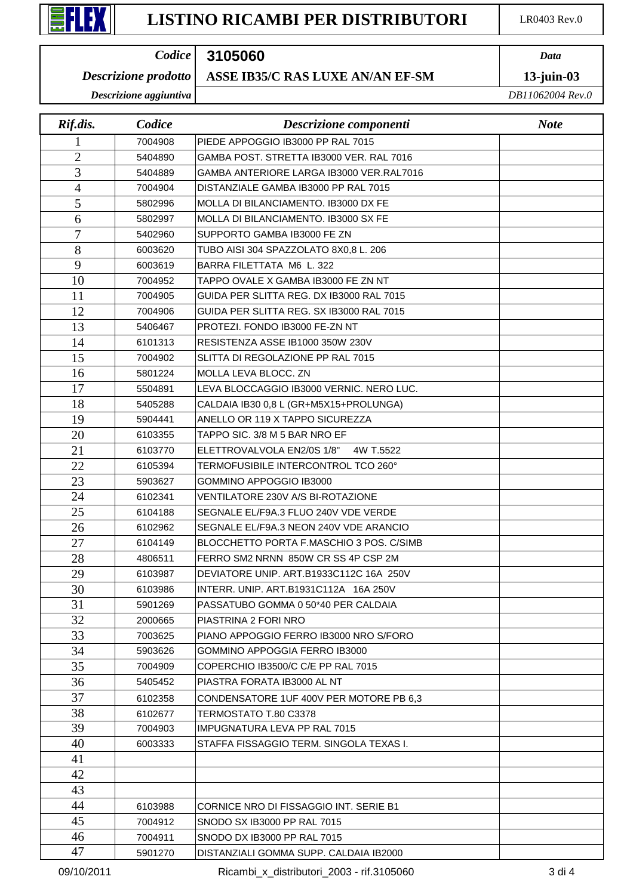### *Data Codice*

#### **ASSE IB35/C RAS LUXE AN/AN EF-SM 13-juin-03** *Descrizione prodotto*

*Descrizione aggiuntiva*

| Rif.dis.       | Codice  | Descrizione componenti                   | <b>Note</b> |
|----------------|---------|------------------------------------------|-------------|
|                | 7004908 | PIEDE APPOGGIO IB3000 PP RAL 7015        |             |
| $\overline{2}$ | 5404890 | GAMBA POST, STRETTA IB3000 VER, RAL 7016 |             |
| 3              | 5404889 | GAMBA ANTERIORE LARGA IB3000 VER.RAL7016 |             |
| $\overline{4}$ | 7004904 | DISTANZIALE GAMBA IB3000 PP RAL 7015     |             |
| 5              | 5802996 | MOLLA DI BILANCIAMENTO. IB3000 DX FE     |             |
| 6              | 5802997 | MOLLA DI BILANCIAMENTO. IB3000 SX FE     |             |
| 7              | 5402960 | SUPPORTO GAMBA IB3000 FE ZN              |             |
| 8              | 6003620 | TUBO AISI 304 SPAZZOLATO 8X0,8 L. 206    |             |
| 9              | 6003619 | BARRA FILETTATA M6 L. 322                |             |
| 10             | 7004952 | TAPPO OVALE X GAMBA IB3000 FE ZN NT      |             |
| 11             | 7004905 | GUIDA PER SLITTA REG. DX IB3000 RAL 7015 |             |
| 12             | 7004906 | GUIDA PER SLITTA REG. SX IB3000 RAL 7015 |             |
| 13             | 5406467 | PROTEZI. FONDO IB3000 FE-ZN NT           |             |
| 14             | 6101313 | RESISTENZA ASSE IB1000 350W 230V         |             |
| 15             | 7004902 | SLITTA DI REGOLAZIONE PP RAL 7015        |             |
| 16             | 5801224 | MOLLA LEVA BLOCC. ZN                     |             |
| 17             | 5504891 | LEVA BLOCCAGGIO IB3000 VERNIC. NERO LUC. |             |
| 18             | 5405288 | CALDAIA IB30 0,8 L (GR+M5X15+PROLUNGA)   |             |
| 19             | 5904441 | ANELLO OR 119 X TAPPO SICUREZZA          |             |
| 20             | 6103355 | TAPPO SIC, 3/8 M 5 BAR NRO EF            |             |
| 21             | 6103770 | ELETTROVALVOLA EN2/0S 1/8"<br>4W T.5522  |             |
| 22             | 6105394 | TERMOFUSIBILE INTERCONTROL TCO 260°      |             |
| 23             | 5903627 | GOMMINO APPOGGIO IB3000                  |             |
| 24             | 6102341 | VENTILATORE 230V A/S BI-ROTAZIONE        |             |
| 25             | 6104188 | SEGNALE EL/F9A.3 FLUO 240V VDE VERDE     |             |
| 26             | 6102962 | SEGNALE EL/F9A.3 NEON 240V VDE ARANCIO   |             |
| 27             | 6104149 | BLOCCHETTO PORTA F.MASCHIO 3 POS. C/SIMB |             |
| 28             | 4806511 | FERRO SM2 NRNN 850W CR SS 4P CSP 2M      |             |
| 29             | 6103987 | DEVIATORE UNIP. ART.B1933C112C 16A 250V  |             |
| 30             | 6103986 | INTERR. UNIP. ART.B1931C112A 16A 250V    |             |
| 31             | 5901269 | PASSATUBO GOMMA 0 50*40 PER CALDAIA      |             |
| 32             | 2000665 | PIASTRINA 2 FORI NRO                     |             |
| 33             | 7003625 | PIANO APPOGGIO FERRO IB3000 NRO S/FORO   |             |
| 34             | 5903626 | <b>GOMMINO APPOGGIA FERRO IB3000</b>     |             |
| 35             | 7004909 | COPERCHIO IB3500/C C/E PP RAL 7015       |             |
| 36             | 5405452 | PIASTRA FORATA IB3000 AL NT              |             |
| 37             | 6102358 | CONDENSATORE 1UF 400V PER MOTORE PB 6.3  |             |
| 38             | 6102677 | TERMOSTATO T.80 C3378                    |             |
| 39             | 7004903 | <b>IMPUGNATURA LEVA PP RAL 7015</b>      |             |
| 40             | 6003333 | STAFFA FISSAGGIO TERM. SINGOLA TEXAS I.  |             |
| 41             |         |                                          |             |
| 42             |         |                                          |             |
| 43             |         |                                          |             |
| 44             | 6103988 | CORNICE NRO DI FISSAGGIO INT. SERIE B1   |             |
| 45             | 7004912 | SNODO SX IB3000 PP RAL 7015              |             |
| 46             | 7004911 | SNODO DX IB3000 PP RAL 7015              |             |
| 47             | 5901270 | DISTANZIALI GOMMA SUPP. CALDAIA IB2000   |             |